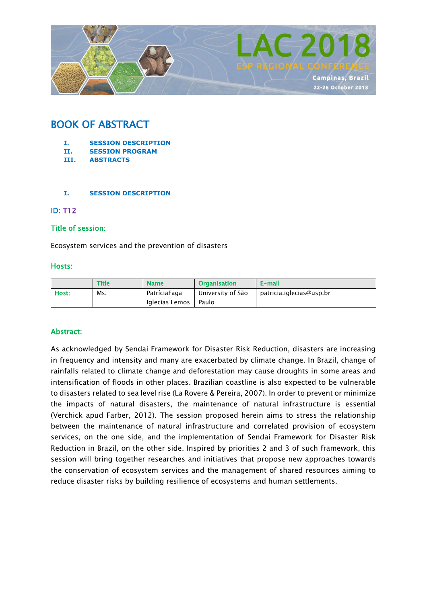

# BOOK OF ABSTRACT

- **I. SESSION DESCRIPTION**
- **II. SESSION PROGRAM**
- **III. ABSTRACTS**

#### **I. SESSION DESCRIPTION**

#### ID: T12

#### Title of session:

Ecosystem services and the prevention of disasters

#### Hosts:

|       | <b>Title</b> | <b>Name</b>    | <b>Organisation</b> | E-mail                   |
|-------|--------------|----------------|---------------------|--------------------------|
| Host: | Ms.          | PatríciaFaga   | University of São   | patricia.iglecias@usp.br |
|       |              | Iglecias Lemos | Paulo               |                          |

#### Abstract:

As acknowledged by Sendai Framework for Disaster Risk Reduction, disasters are increasing in frequency and intensity and many are exacerbated by climate change. In Brazil, change of rainfalls related to climate change and deforestation may cause droughts in some areas and intensification of floods in other places. Brazilian coastline is also expected to be vulnerable to disasters related to sea level rise (La Rovere & Pereira, 2007). In order to prevent or minimize the impacts of natural disasters, the maintenance of natural infrastructure is essential (Verchick apud Farber, 2012). The session proposed herein aims to stress the relationship between the maintenance of natural infrastructure and correlated provision of ecosystem services, on the one side, and the implementation of Sendai Framework for Disaster Risk Reduction in Brazil, on the other side. Inspired by priorities 2 and 3 of such framework, this session will bring together researches and initiatives that propose new approaches towards the conservation of ecosystem services and the management of shared resources aiming to reduce disaster risks by building resilience of ecosystems and human settlements.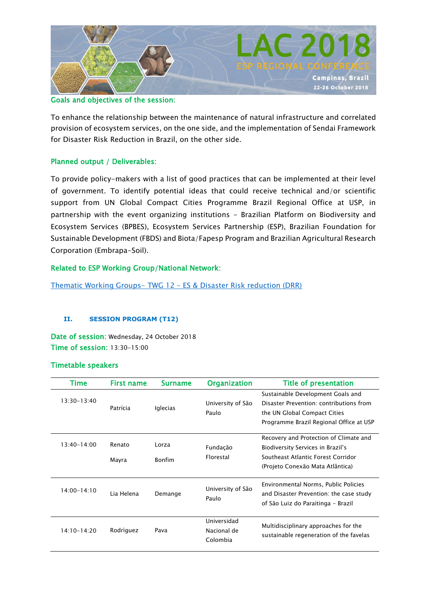

#### Goals and objectives of the session:

To enhance the relationship between the maintenance of natural infrastructure and correlated provision of ecosystem services, on the one side, and the implementation of Sendai Framework for Disaster Risk Reduction in Brazil, on the other side.

#### Planned output / Deliverables:

To provide policy-makers with a list of good practices that can be implemented at their level of government. To identify potential ideas that could receive technical and/or scientific support from UN Global Compact Cities Programme Brazil Regional Office at USP, in partnership with the event organizing institutions - Brazilian Platform on Biodiversity and Ecosystem Services (BPBES), Ecosystem Services Partnership (ESP), Brazilian Foundation for Sustainable Development (FBDS) and Biota/Fapesp Program and Brazilian Agricultural Research Corporation (Embrapa-Soil).

#### Related to ESP Working Group/National Network:

Thematic Working Groups- TWG 12 – [ES & Disaster Risk reduction \(DRR\)](https://www.es-partnership.org/community/workings-groups/thematic-working-groups/twg-12-es-and-disaster-risk-reduction/)

#### **II. SESSION PROGRAM (T12)**

Date of session: Wednesday, 24 October 2018 Time of session: 13:30-15:00

#### Timetable speakers

| Time            | <b>First name</b> | Surname                | <b>Organization</b>                    | <b>Title of presentation</b>                                                                                                                            |
|-----------------|-------------------|------------------------|----------------------------------------|---------------------------------------------------------------------------------------------------------------------------------------------------------|
| $13:30 - 13:40$ | Patrícia          | Iglecias               | University of São<br>Paulo             | Sustainable Development Goals and<br>Disaster Prevention: contributions from<br>the UN Global Compact Cities<br>Programme Brazil Regional Office at USP |
| $13:40 - 14:00$ | Renato<br>Mayra   | Lorza<br><b>Bonfim</b> | Fundação<br>Florestal                  | Recovery and Protection of Climate and<br>Biodiversity Services in Brazil's<br>Southeast Atlantic Forest Corridor<br>(Projeto Conexão Mata Atlântica)   |
| $14:00 - 14:10$ | Lia Helena        | Demange                | University of São<br>Paulo             | Environmental Norms, Public Policies<br>and Disaster Prevention: the case study<br>of São Luiz do Paraitinga - Brazil                                   |
| 14:10-14:20     | Rodriguez         | Pava                   | Universidad<br>Nacional de<br>Colombia | Multidisciplinary approaches for the<br>sustainable regeneration of the favelas                                                                         |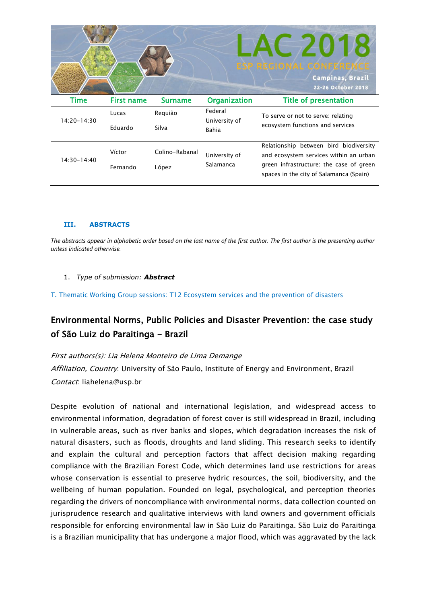

#### **III. ABSTRACTS**

*The abstracts appear in alphabetic order based on the last name of the first author. The first author is the presenting author unless indicated otherwise.*

1. *Type of submission: Abstract*

T. Thematic Working Group sessions: T12 Ecosystem services and the prevention of disasters

## Environmental Norms, Public Policies and Disaster Prevention: the case study of São Luiz do Paraitinga - Brazil

First authors(s): Lia Helena Monteiro de Lima Demange Affiliation, Country: University of São Paulo, Institute of Energy and Environment, Brazil Contact: liahelena@usp.br

Despite evolution of national and international legislation, and widespread access to environmental information, degradation of forest cover is still widespread in Brazil, including in vulnerable areas, such as river banks and slopes, which degradation increases the risk of natural disasters, such as floods, droughts and land sliding. This research seeks to identify and explain the cultural and perception factors that affect decision making regarding compliance with the Brazilian Forest Code, which determines land use restrictions for areas whose conservation is essential to preserve hydric resources, the soil, biodiversity, and the wellbeing of human population. Founded on legal, psychological, and perception theories regarding the drivers of noncompliance with environmental norms, data collection counted on jurisprudence research and qualitative interviews with land owners and government officials responsible for enforcing environmental law in São Luiz do Paraitinga. São Luiz do Paraitinga is a Brazilian municipality that has undergone a major flood, which was aggravated by the lack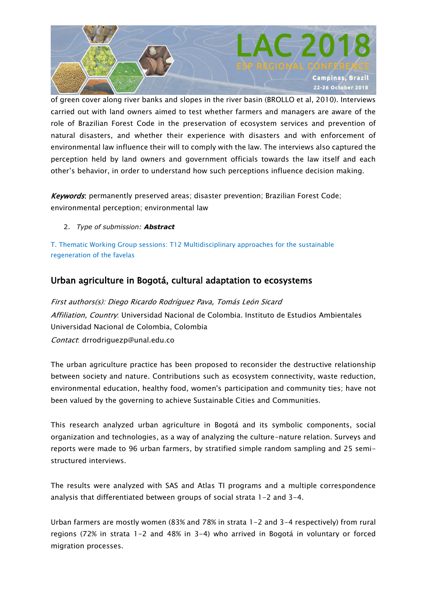

of green cover along river banks and slopes in the river basin (BROLLO et al, 2010). Interviews carried out with land owners aimed to test whether farmers and managers are aware of the role of Brazilian Forest Code in the preservation of ecosystem services and prevention of natural disasters, and whether their experience with disasters and with enforcement of environmental law influence their will to comply with the law. The interviews also captured the perception held by land owners and government officials towards the law itself and each other's behavior, in order to understand how such perceptions influence decision making.

Keywords: permanently preserved areas; disaster prevention; Brazilian Forest Code; environmental perception; environmental law

2. *Type of submission: Abstract*

T. Thematic Working Group sessions: T12 Multidisciplinary approaches for the sustainable regeneration of the favelas

## Urban agriculture in Bogotá, cultural adaptation to ecosystems

First authors(s): Diego Ricardo Rodríguez Pava, Tomás León Sicard Affiliation, Country: Universidad Nacional de Colombia. Instituto de Estudios Ambientales Universidad Nacional de Colombia, Colombia Contact: drrodriguezp@unal.edu.co

The urban agriculture practice has been proposed to reconsider the destructive relationship between society and nature. Contributions such as ecosystem connectivity, waste reduction, environmental education, healthy food, women's participation and community ties; have not been valued by the governing to achieve Sustainable Cities and Communities.

This research analyzed urban agriculture in Bogotá and its symbolic components, social organization and technologies, as a way of analyzing the culture-nature relation. Surveys and reports were made to 96 urban farmers, by stratified simple random sampling and 25 semistructured interviews.

The results were analyzed with SAS and Atlas TI programs and a multiple correspondence analysis that differentiated between groups of social strata 1-2 and 3-4.

Urban farmers are mostly women (83% and 78% in strata 1-2 and 3-4 respectively) from rural regions (72% in strata 1-2 and 48% in 3-4) who arrived in Bogotá in voluntary or forced migration processes.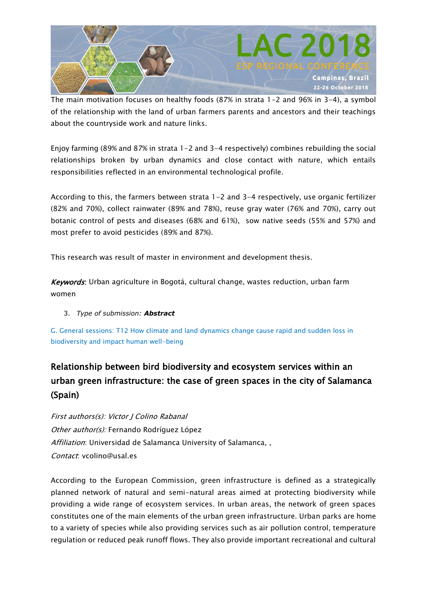

The main motivation focuses on healthy foods (87% in strata 1-2 and 96% in 3-4), a symbol of the relationship with the land of urban farmers parents and ancestors and their teachings about the countryside work and nature links.

Enjoy farming (89% and 87% in strata 1-2 and 3-4 respectively) combines rebuilding the social relationships broken by urban dynamics and close contact with nature, which entails responsibilities reflected in an environmental technological profile.

According to this, the farmers between strata 1-2 and 3-4 respectively, use organic fertilizer (82% and 70%), collect rainwater (89% and 78%), reuse gray water (76% and 70%), carry out botanic control of pests and diseases (68% and 61%), sow native seeds (55% and 57%) and most prefer to avoid pesticides (89% and 87%).

This research was result of master in environment and development thesis.

Keywords: Urban agriculture in Bogotá, cultural change, wastes reduction, urban farm women

3. *Type of submission: Abstract*

G. General sessions: T12 How climate and land dynamics change cause rapid and sudden loss in biodiversity and impact human well-being

# Relationship between bird biodiversity and ecosystem services within an urban green infrastructure: the case of green spaces in the city of Salamanca (Spain)

First authors(s): Victor J Colino Rabanal Other author(s): Fernando Rodríguez López Affiliation: Universidad de Salamanca University of Salamanca, , Contact: vcolino@usal.es

According to the European Commission, green infrastructure is defined as a strategically planned network of natural and semi-natural areas aimed at protecting biodiversity while providing a wide range of ecosystem services. In urban areas, the network of green spaces constitutes one of the main elements of the urban green infrastructure. Urban parks are home to a variety of species while also providing services such as air pollution control, temperature regulation or reduced peak runoff flows. They also provide important recreational and cultural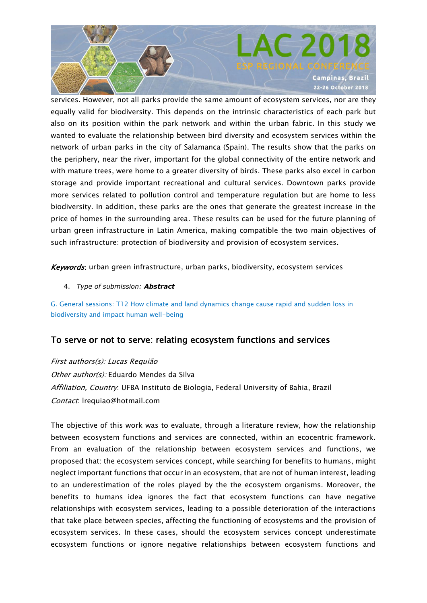

services. However, not all parks provide the same amount of ecosystem services, nor are they equally valid for biodiversity. This depends on the intrinsic characteristics of each park but also on its position within the park network and within the urban fabric. In this study we wanted to evaluate the relationship between bird diversity and ecosystem services within the network of urban parks in the city of Salamanca (Spain). The results show that the parks on the periphery, near the river, important for the global connectivity of the entire network and with mature trees, were home to a greater diversity of birds. These parks also excel in carbon storage and provide important recreational and cultural services. Downtown parks provide more services related to pollution control and temperature regulation but are home to less biodiversity. In addition, these parks are the ones that generate the greatest increase in the price of homes in the surrounding area. These results can be used for the future planning of urban green infrastructure in Latin America, making compatible the two main objectives of such infrastructure: protection of biodiversity and provision of ecosystem services.

Keywords: urban green infrastructure, urban parks, biodiversity, ecosystem services

4. *Type of submission: Abstract*

G. General sessions: T12 How climate and land dynamics change cause rapid and sudden loss in biodiversity and impact human well-being

## To serve or not to serve: relating ecosystem functions and services

First authors(s): Lucas Requião Other author(s): Eduardo Mendes da Silva Affiliation, Country: UFBA Instituto de Biologia, Federal University of Bahia, Brazil Contact: lrequiao@hotmail.com

The objective of this work was to evaluate, through a literature review, how the relationship between ecosystem functions and services are connected, within an ecocentric framework. From an evaluation of the relationship between ecosystem services and functions, we proposed that: the ecosystem services concept, while searching for benefits to humans, might neglect important functions that occur in an ecosystem, that are not of human interest, leading to an underestimation of the roles played by the the ecosystem organisms. Moreover, the benefits to humans idea ignores the fact that ecosystem functions can have negative relationships with ecosystem services, leading to a possible deterioration of the interactions that take place between species, affecting the functioning of ecosystems and the provision of ecosystem services. In these cases, should the ecosystem services concept underestimate ecosystem functions or ignore negative relationships between ecosystem functions and